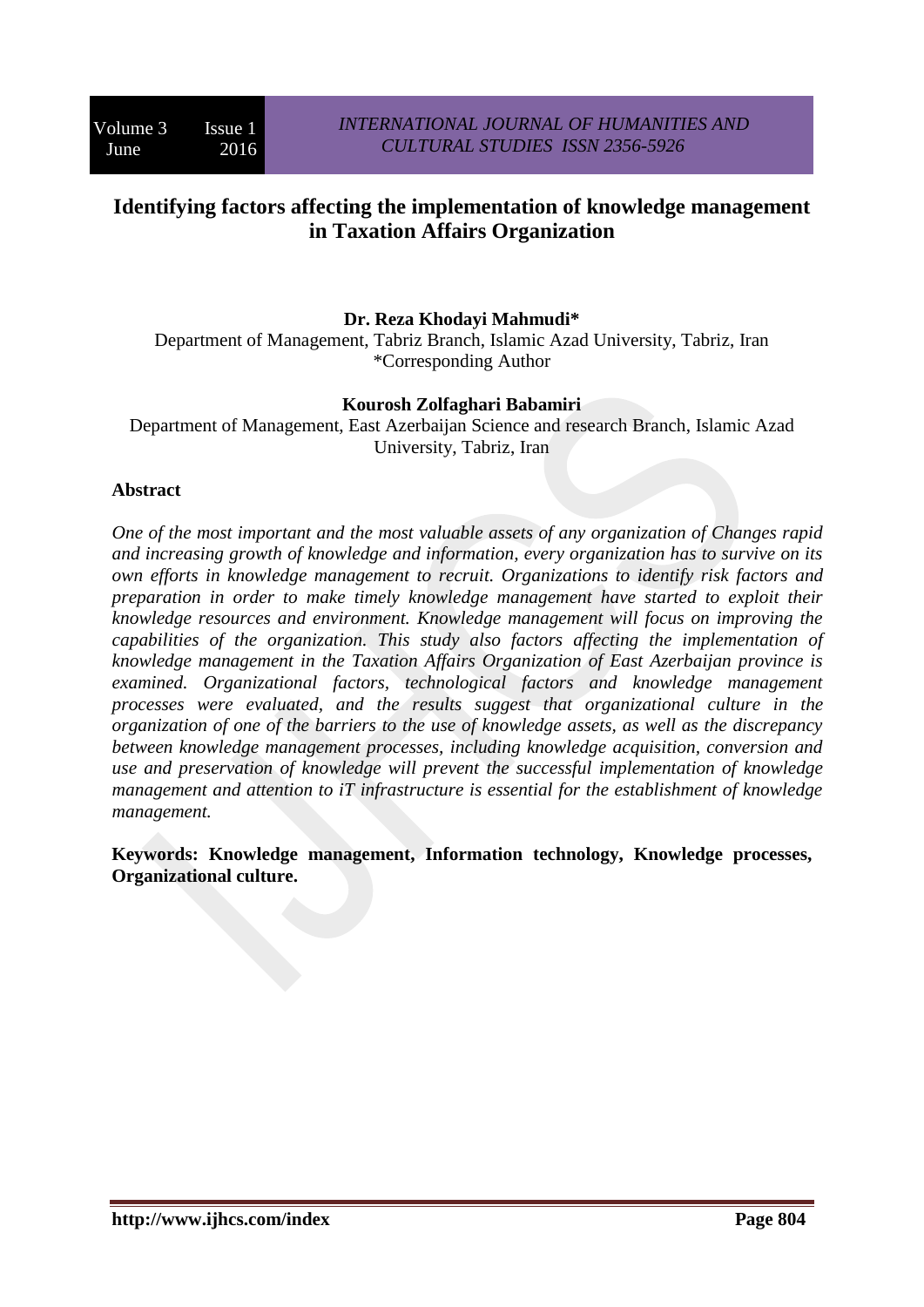# **Identifying factors affecting the implementation of knowledge management in Taxation Affairs Organization**

# **Dr. Reza Khodayi Mahmudi\***

Department of Management, Tabriz Branch, Islamic Azad University, Tabriz, Iran \*Corresponding Author

### **Kourosh Zolfaghari Babamiri**

Department of Management, East Azerbaijan Science and research Branch, Islamic Azad University, Tabriz, Iran

### **Abstract**

*One of the most important and the most valuable assets of any organization of Changes rapid and increasing growth of knowledge and information, every organization has to survive on its own efforts in knowledge management to recruit. Organizations to identify risk factors and preparation in order to make timely knowledge management have started to exploit their knowledge resources and environment. Knowledge management will focus on improving the capabilities of the organization. This study also factors affecting the implementation of knowledge management in the Taxation Affairs Organization of East Azerbaijan province is examined. Organizational factors, technological factors and knowledge management processes were evaluated, and the results suggest that organizational culture in the organization of one of the barriers to the use of knowledge assets, as well as the discrepancy between knowledge management processes, including knowledge acquisition, conversion and use and preservation of knowledge will prevent the successful implementation of knowledge management and attention to iT infrastructure is essential for the establishment of knowledge management.*

**Keywords: Knowledge management, Information technology, Knowledge processes, Organizational culture.**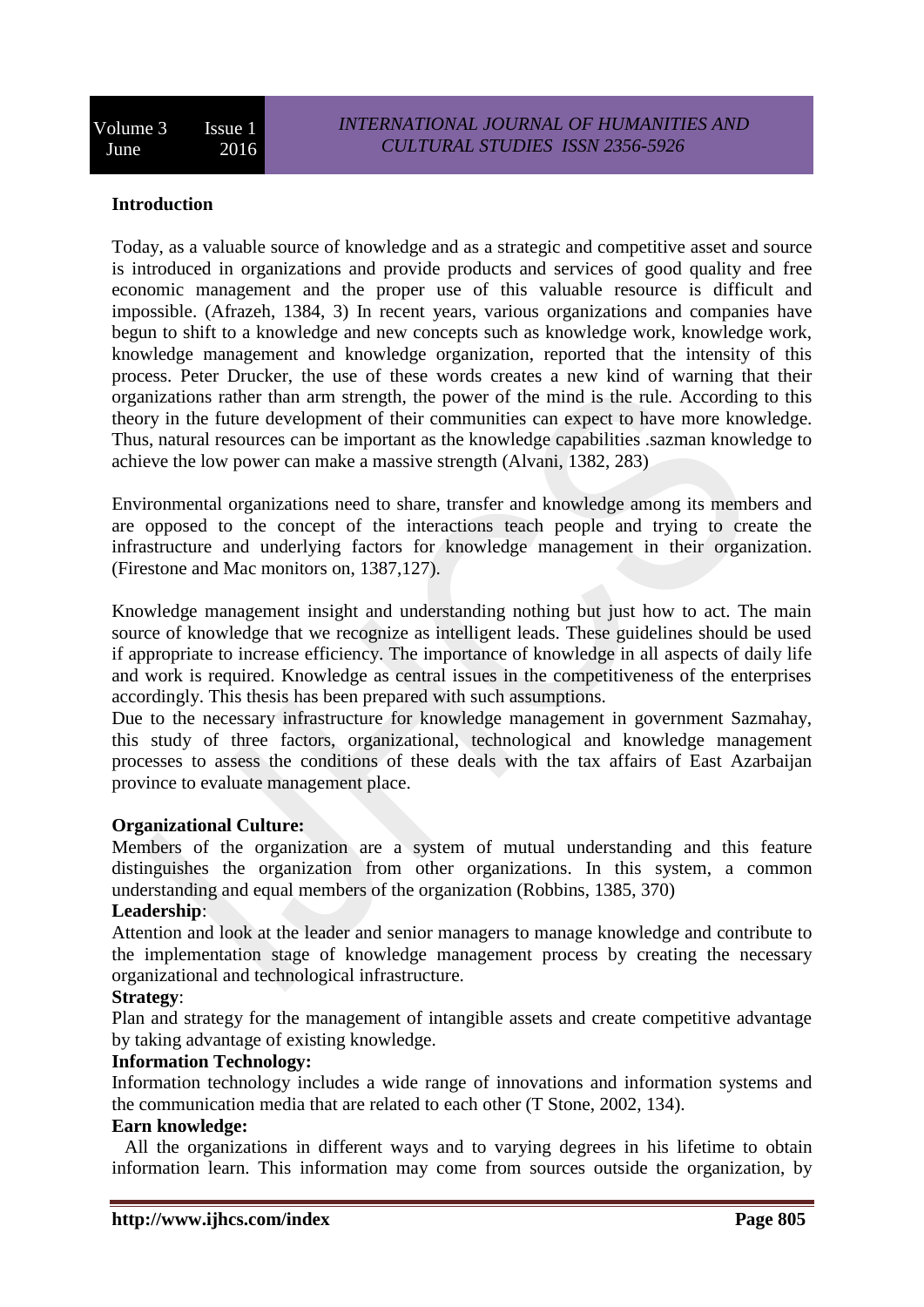# **Introduction**

Today, as a valuable source of knowledge and as a strategic and competitive asset and source is introduced in organizations and provide products and services of good quality and free economic management and the proper use of this valuable resource is difficult and impossible. (Afrazeh, 1384, 3) In recent years, various organizations and companies have begun to shift to a knowledge and new concepts such as knowledge work, knowledge work, knowledge management and knowledge organization, reported that the intensity of this process. Peter Drucker, the use of these words creates a new kind of warning that their organizations rather than arm strength, the power of the mind is the rule. According to this theory in the future development of their communities can expect to have more knowledge. Thus, natural resources can be important as the knowledge capabilities .sazman knowledge to achieve the low power can make a massive strength (Alvani, 1382, 283)

Environmental organizations need to share, transfer and knowledge among its members and are opposed to the concept of the interactions teach people and trying to create the infrastructure and underlying factors for knowledge management in their organization. (Firestone and Mac monitors on, 1387,127).

Knowledge management insight and understanding nothing but just how to act. The main source of knowledge that we recognize as intelligent leads. These guidelines should be used if appropriate to increase efficiency. The importance of knowledge in all aspects of daily life and work is required. Knowledge as central issues in the competitiveness of the enterprises accordingly. This thesis has been prepared with such assumptions.

Due to the necessary infrastructure for knowledge management in government Sazmahay, this study of three factors, organizational, technological and knowledge management processes to assess the conditions of these deals with the tax affairs of East Azarbaijan province to evaluate management place.

#### **Organizational Culture:**

Members of the organization are a system of mutual understanding and this feature distinguishes the organization from other organizations. In this system, a common understanding and equal members of the organization (Robbins, 1385, 370)

#### **Leadership**:

Attention and look at the leader and senior managers to manage knowledge and contribute to the implementation stage of knowledge management process by creating the necessary organizational and technological infrastructure.

#### **Strategy**:

Plan and strategy for the management of intangible assets and create competitive advantage by taking advantage of existing knowledge.

### **Information Technology:**

Information technology includes a wide range of innovations and information systems and the communication media that are related to each other (T Stone, 2002, 134).

#### **Earn knowledge:**

All the organizations in different ways and to varying degrees in his lifetime to obtain information learn. This information may come from sources outside the organization, by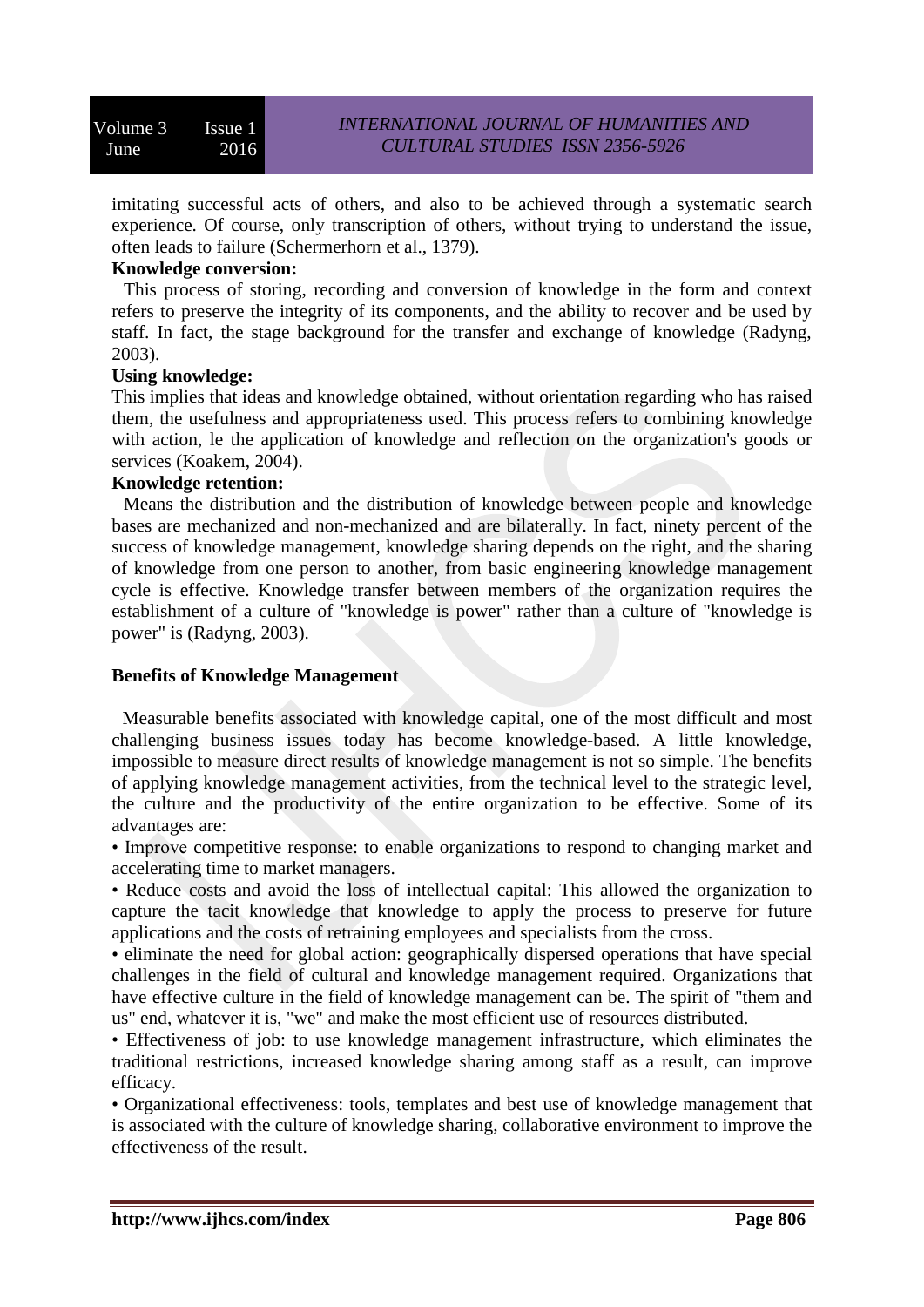imitating successful acts of others, and also to be achieved through a systematic search experience. Of course, only transcription of others, without trying to understand the issue, often leads to failure (Schermerhorn et al., 1379).

# **Knowledge conversion:**

This process of storing, recording and conversion of knowledge in the form and context refers to preserve the integrity of its components, and the ability to recover and be used by staff. In fact, the stage background for the transfer and exchange of knowledge (Radyng, 2003).

#### **Using knowledge:**

This implies that ideas and knowledge obtained, without orientation regarding who has raised them, the usefulness and appropriateness used. This process refers to combining knowledge with action, le the application of knowledge and reflection on the organization's goods or services (Koakem, 2004).

#### **Knowledge retention:**

Means the distribution and the distribution of knowledge between people and knowledge bases are mechanized and non-mechanized and are bilaterally. In fact, ninety percent of the success of knowledge management, knowledge sharing depends on the right, and the sharing of knowledge from one person to another, from basic engineering knowledge management cycle is effective. Knowledge transfer between members of the organization requires the establishment of a culture of "knowledge is power" rather than a culture of "knowledge is power" is (Radyng, 2003).

# **Benefits of Knowledge Management**

Measurable benefits associated with knowledge capital, one of the most difficult and most challenging business issues today has become knowledge-based. A little knowledge, impossible to measure direct results of knowledge management is not so simple. The benefits of applying knowledge management activities, from the technical level to the strategic level, the culture and the productivity of the entire organization to be effective. Some of its advantages are:

• Improve competitive response: to enable organizations to respond to changing market and accelerating time to market managers.

• Reduce costs and avoid the loss of intellectual capital: This allowed the organization to capture the tacit knowledge that knowledge to apply the process to preserve for future applications and the costs of retraining employees and specialists from the cross.

• eliminate the need for global action: geographically dispersed operations that have special challenges in the field of cultural and knowledge management required. Organizations that have effective culture in the field of knowledge management can be. The spirit of "them and us" end, whatever it is, "we" and make the most efficient use of resources distributed.

• Effectiveness of job: to use knowledge management infrastructure, which eliminates the traditional restrictions, increased knowledge sharing among staff as a result, can improve efficacy.

• Organizational effectiveness: tools, templates and best use of knowledge management that is associated with the culture of knowledge sharing, collaborative environment to improve the effectiveness of the result.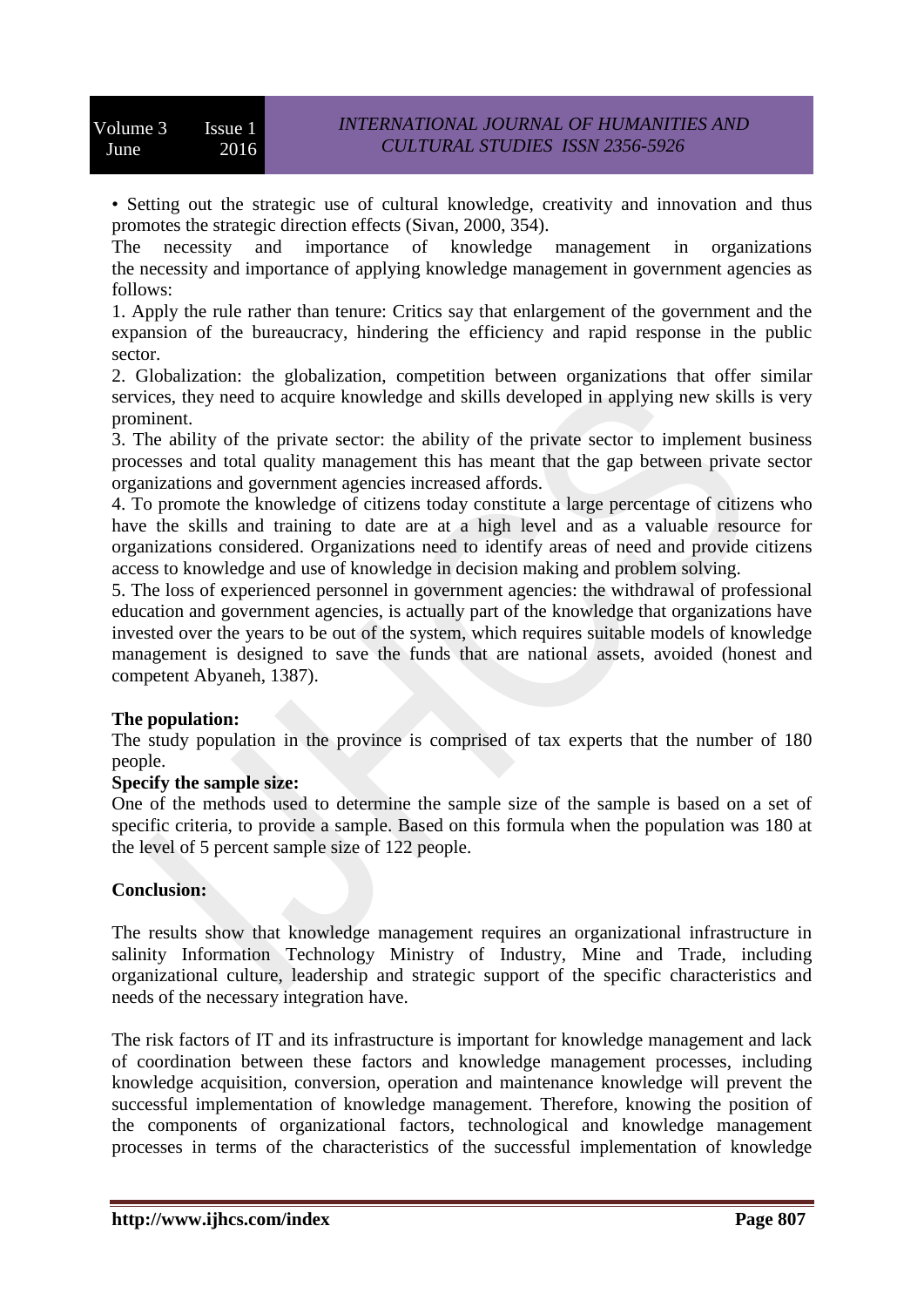• Setting out the strategic use of cultural knowledge, creativity and innovation and thus promotes the strategic direction effects (Sivan, 2000, 354).

The necessity and importance of knowledge management in organizations the necessity and importance of applying knowledge management in government agencies as follows:

1. Apply the rule rather than tenure: Critics say that enlargement of the government and the expansion of the bureaucracy, hindering the efficiency and rapid response in the public sector.

2. Globalization: the globalization, competition between organizations that offer similar services, they need to acquire knowledge and skills developed in applying new skills is very prominent.

3. The ability of the private sector: the ability of the private sector to implement business processes and total quality management this has meant that the gap between private sector organizations and government agencies increased affords.

4. To promote the knowledge of citizens today constitute a large percentage of citizens who have the skills and training to date are at a high level and as a valuable resource for organizations considered. Organizations need to identify areas of need and provide citizens access to knowledge and use of knowledge in decision making and problem solving.

5. The loss of experienced personnel in government agencies: the withdrawal of professional education and government agencies, is actually part of the knowledge that organizations have invested over the years to be out of the system, which requires suitable models of knowledge management is designed to save the funds that are national assets, avoided (honest and competent Abyaneh, 1387).

# **The population:**

The study population in the province is comprised of tax experts that the number of 180 people.

#### **Specify the sample size:**

One of the methods used to determine the sample size of the sample is based on a set of specific criteria, to provide a sample. Based on this formula when the population was 180 at the level of 5 percent sample size of 122 people.

# **Conclusion:**

The results show that knowledge management requires an organizational infrastructure in salinity Information Technology Ministry of Industry, Mine and Trade, including organizational culture, leadership and strategic support of the specific characteristics and needs of the necessary integration have.

The risk factors of IT and its infrastructure is important for knowledge management and lack of coordination between these factors and knowledge management processes, including knowledge acquisition, conversion, operation and maintenance knowledge will prevent the successful implementation of knowledge management. Therefore, knowing the position of the components of organizational factors, technological and knowledge management processes in terms of the characteristics of the successful implementation of knowledge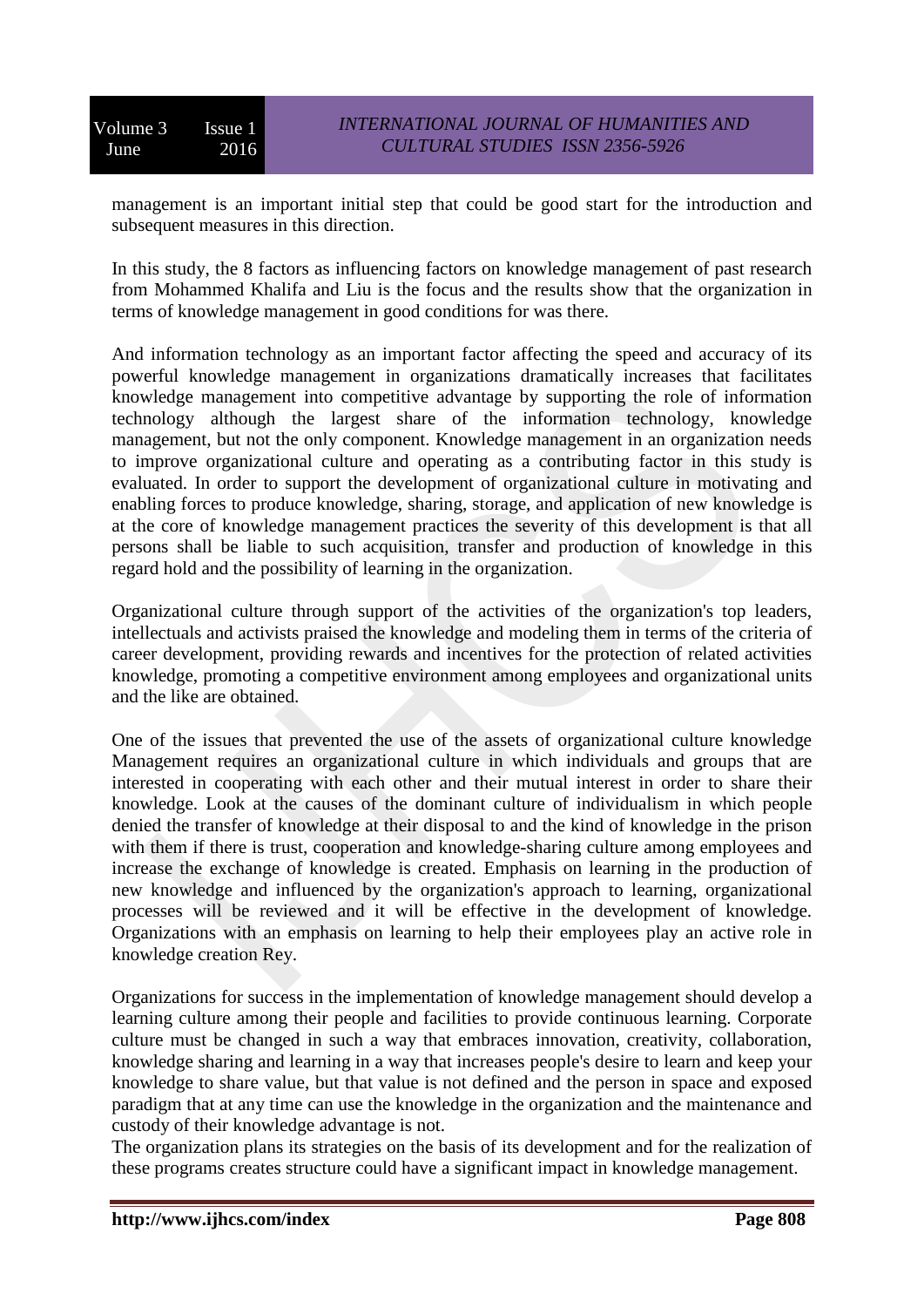management is an important initial step that could be good start for the introduction and subsequent measures in this direction.

In this study, the 8 factors as influencing factors on knowledge management of past research from Mohammed Khalifa and Liu is the focus and the results show that the organization in terms of knowledge management in good conditions for was there.

And information technology as an important factor affecting the speed and accuracy of its powerful knowledge management in organizations dramatically increases that facilitates knowledge management into competitive advantage by supporting the role of information technology although the largest share of the information technology, knowledge management, but not the only component. Knowledge management in an organization needs to improve organizational culture and operating as a contributing factor in this study is evaluated. In order to support the development of organizational culture in motivating and enabling forces to produce knowledge, sharing, storage, and application of new knowledge is at the core of knowledge management practices the severity of this development is that all persons shall be liable to such acquisition, transfer and production of knowledge in this regard hold and the possibility of learning in the organization.

Organizational culture through support of the activities of the organization's top leaders, intellectuals and activists praised the knowledge and modeling them in terms of the criteria of career development, providing rewards and incentives for the protection of related activities knowledge, promoting a competitive environment among employees and organizational units and the like are obtained.

One of the issues that prevented the use of the assets of organizational culture knowledge Management requires an organizational culture in which individuals and groups that are interested in cooperating with each other and their mutual interest in order to share their knowledge. Look at the causes of the dominant culture of individualism in which people denied the transfer of knowledge at their disposal to and the kind of knowledge in the prison with them if there is trust, cooperation and knowledge-sharing culture among employees and increase the exchange of knowledge is created. Emphasis on learning in the production of new knowledge and influenced by the organization's approach to learning, organizational processes will be reviewed and it will be effective in the development of knowledge. Organizations with an emphasis on learning to help their employees play an active role in knowledge creation Rey.

Organizations for success in the implementation of knowledge management should develop a learning culture among their people and facilities to provide continuous learning. Corporate culture must be changed in such a way that embraces innovation, creativity, collaboration, knowledge sharing and learning in a way that increases people's desire to learn and keep your knowledge to share value, but that value is not defined and the person in space and exposed paradigm that at any time can use the knowledge in the organization and the maintenance and custody of their knowledge advantage is not.

The organization plans its strategies on the basis of its development and for the realization of these programs creates structure could have a significant impact in knowledge management.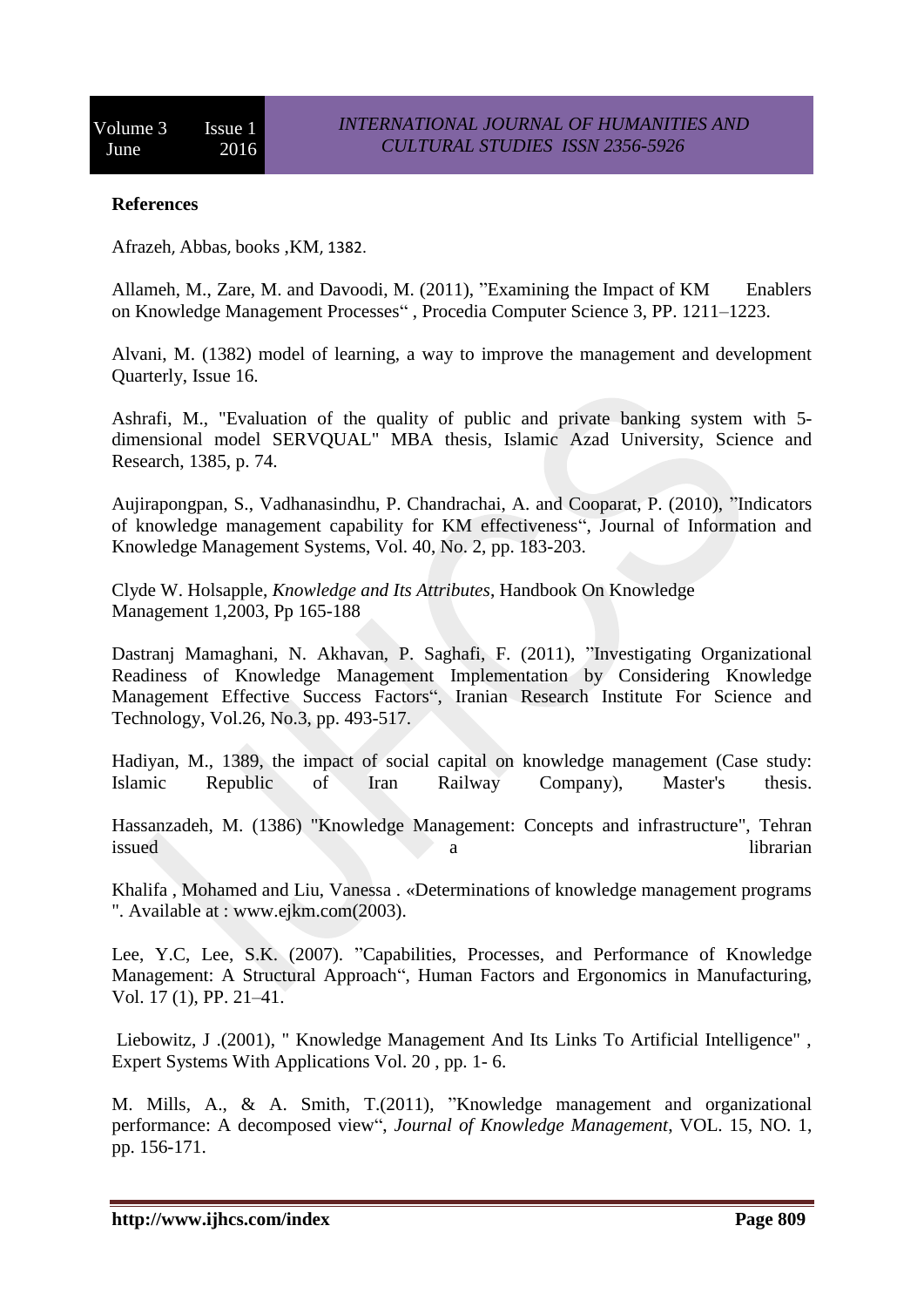# **References**

Afrazeh, Abbas, books ,KM, 1382.

Allameh, M., Zare, M. and Davoodi, M. (2011), "Examining the Impact of KM Enablers on Knowledge Management Processes" , Procedia Computer Science 3, PP. 1211–1223.

Alvani, M. (1382) model of learning, a way to improve the management and development Quarterly, Issue 16.

Ashrafi, M., "Evaluation of the quality of public and private banking system with 5 dimensional model SERVQUAL" MBA thesis, Islamic Azad University, Science and Research, 1385, p. 74.

Aujirapongpan, S., Vadhanasindhu, P. Chandrachai, A. and Cooparat, P. (2010), "Indicators of knowledge management capability for KM effectiveness", Journal of Information and Knowledge Management Systems, Vol. 40, No. 2, pp. 183-203.

Clyde W. Holsapple, *Knowledge and Its Attributes*, Handbook On Knowledge Management 1,2003, Pp 165-188

Dastranj Mamaghani, N. Akhavan, P. Saghafi, F. (2011), "Investigating Organizational Readiness of Knowledge Management Implementation by Considering Knowledge Management Effective Success Factors", Iranian Research Institute For Science and Technology, Vol.26, No.3, pp. 493-517.

Hadiyan, M., 1389, the impact of social capital on knowledge management (Case study: Islamic Republic of Iran Railway Company), Master's thesis.

Hassanzadeh, M. (1386) "Knowledge Management: Concepts and infrastructure", Tehran issued a librarian contract a librarian contract a librarian contract a librarian

Khalifa , Mohamed and Liu, Vanessa . «Determinations of knowledge management programs ". Available at : www.ejkm.com(2003).

Lee, Y.C, Lee, S.K. (2007). "Capabilities, Processes, and Performance of Knowledge Management: A Structural Approach", Human Factors and Ergonomics in Manufacturing, Vol. 17 (1), PP. 21–41.

Liebowitz, J .(2001), " Knowledge Management And Its Links To Artificial Intelligence" , Expert Systems With Applications Vol. 20 , pp. 1- 6.

M. Mills, A., & A. Smith, T.(2011), "Knowledge management and organizational performance: A decomposed view", *Journal of Knowledge Management*, VOL. 15, NO. 1, pp. 156-171.